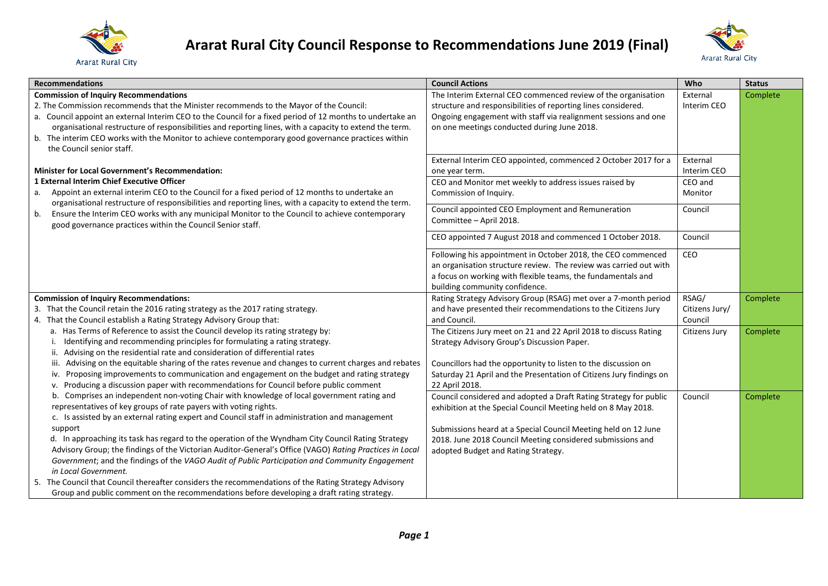



| <b>Recommendations</b>                                                                                    | <b>Council Actions</b>                                              | Who            | <b>Status</b> |
|-----------------------------------------------------------------------------------------------------------|---------------------------------------------------------------------|----------------|---------------|
| <b>Commission of Inquiry Recommendations</b>                                                              | The Interim External CEO commenced review of the organisation       | External       | Complete      |
| 2. The Commission recommends that the Minister recommends to the Mayor of the Council:                    | structure and responsibilities of reporting lines considered.       | Interim CEO    |               |
| a. Council appoint an external Interim CEO to the Council for a fixed period of 12 months to undertake an | Ongoing engagement with staff via realignment sessions and one      |                |               |
| organisational restructure of responsibilities and reporting lines, with a capacity to extend the term.   | on one meetings conducted during June 2018.                         |                |               |
| b. The interim CEO works with the Monitor to achieve contemporary good governance practices within        |                                                                     |                |               |
| the Council senior staff.                                                                                 |                                                                     |                |               |
|                                                                                                           | External Interim CEO appointed, commenced 2 October 2017 for a      | External       |               |
| Minister for Local Government's Recommendation:                                                           | one year term.                                                      | Interim CEO    |               |
| 1 External Interim Chief Executive Officer                                                                | CEO and Monitor met weekly to address issues raised by              | CEO and        |               |
| Appoint an external interim CEO to the Council for a fixed period of 12 months to undertake an<br>a.      | Commission of Inquiry.                                              | Monitor        |               |
| organisational restructure of responsibilities and reporting lines, with a capacity to extend the term.   | Council appointed CEO Employment and Remuneration                   | Council        |               |
| Ensure the Interim CEO works with any municipal Monitor to the Council to achieve contemporary<br>b.      | Committee - April 2018.                                             |                |               |
| good governance practices within the Council Senior staff.                                                |                                                                     |                |               |
|                                                                                                           | CEO appointed 7 August 2018 and commenced 1 October 2018.           | Council        |               |
|                                                                                                           | Following his appointment in October 2018, the CEO commenced        | CEO            |               |
|                                                                                                           | an organisation structure review. The review was carried out with   |                |               |
|                                                                                                           | a focus on working with flexible teams, the fundamentals and        |                |               |
|                                                                                                           | building community confidence.                                      |                |               |
| <b>Commission of Inquiry Recommendations:</b>                                                             | Rating Strategy Advisory Group (RSAG) met over a 7-month period     | RSAG/          | Complete      |
| 3. That the Council retain the 2016 rating strategy as the 2017 rating strategy.                          | and have presented their recommendations to the Citizens Jury       | Citizens Jury/ |               |
| 4. That the Council establish a Rating Strategy Advisory Group that:                                      | and Council.                                                        | Council        |               |
| a. Has Terms of Reference to assist the Council develop its rating strategy by:                           | The Citizens Jury meet on 21 and 22 April 2018 to discuss Rating    | Citizens Jury  | Complete      |
| Identifying and recommending principles for formulating a rating strategy.                                | Strategy Advisory Group's Discussion Paper.                         |                |               |
| ii. Advising on the residential rate and consideration of differential rates                              |                                                                     |                |               |
| Advising on the equitable sharing of the rates revenue and changes to current charges and rebates<br>iii. | Councillors had the opportunity to listen to the discussion on      |                |               |
| Proposing improvements to communication and engagement on the budget and rating strategy<br>iv.           | Saturday 21 April and the Presentation of Citizens Jury findings on |                |               |
| Producing a discussion paper with recommendations for Council before public comment<br>v.                 | 22 April 2018.                                                      |                |               |
| Comprises an independent non-voting Chair with knowledge of local government rating and<br>b.             | Council considered and adopted a Draft Rating Strategy for public   | Council        | Complete      |
| representatives of key groups of rate payers with voting rights.                                          | exhibition at the Special Council Meeting held on 8 May 2018.       |                |               |
| c. Is assisted by an external rating expert and Council staff in administration and management            |                                                                     |                |               |
| support                                                                                                   | Submissions heard at a Special Council Meeting held on 12 June      |                |               |
| d. In approaching its task has regard to the operation of the Wyndham City Council Rating Strategy        | 2018. June 2018 Council Meeting considered submissions and          |                |               |
| Advisory Group; the findings of the Victorian Auditor-General's Office (VAGO) Rating Practices in Local   | adopted Budget and Rating Strategy.                                 |                |               |
| Government; and the findings of the VAGO Audit of Public Participation and Community Engagement           |                                                                     |                |               |
| in Local Government.                                                                                      |                                                                     |                |               |
| 5. The Council that Council thereafter considers the recommendations of the Rating Strategy Advisory      |                                                                     |                |               |
| Group and public comment on the recommendations before developing a draft rating strategy.                |                                                                     |                |               |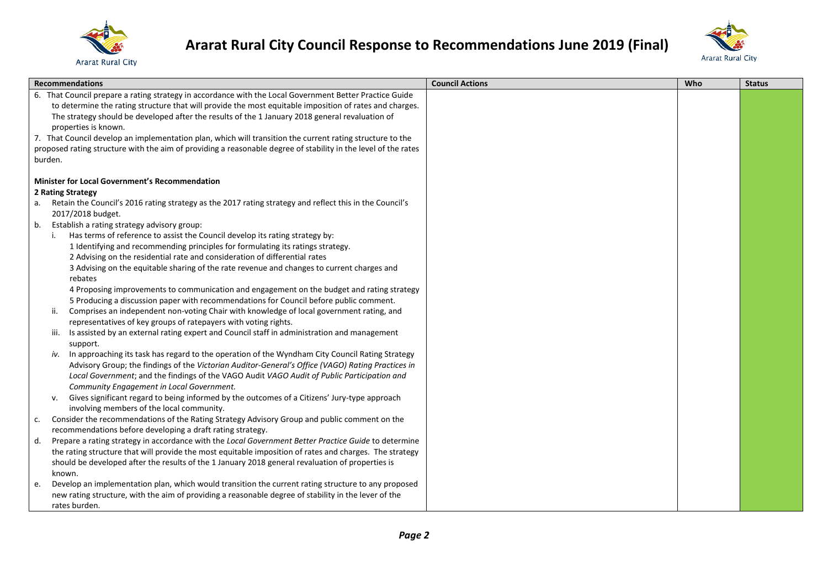



|    | <b>Recommendations</b>                                                                                                                                                 | <b>Council Actions</b> | Who | <b>Status</b> |
|----|------------------------------------------------------------------------------------------------------------------------------------------------------------------------|------------------------|-----|---------------|
|    | 6. That Council prepare a rating strategy in accordance with the Local Government Better Practice Guide                                                                |                        |     |               |
|    | to determine the rating structure that will provide the most equitable imposition of rates and charges.                                                                |                        |     |               |
|    | The strategy should be developed after the results of the 1 January 2018 general revaluation of                                                                        |                        |     |               |
|    | properties is known.                                                                                                                                                   |                        |     |               |
|    | 7. That Council develop an implementation plan, which will transition the current rating structure to the                                                              |                        |     |               |
|    | proposed rating structure with the aim of providing a reasonable degree of stability in the level of the rates                                                         |                        |     |               |
|    | burden.                                                                                                                                                                |                        |     |               |
|    | <b>Minister for Local Government's Recommendation</b>                                                                                                                  |                        |     |               |
|    | 2 Rating Strategy                                                                                                                                                      |                        |     |               |
|    | a. Retain the Council's 2016 rating strategy as the 2017 rating strategy and reflect this in the Council's                                                             |                        |     |               |
|    | 2017/2018 budget.                                                                                                                                                      |                        |     |               |
| b. | Establish a rating strategy advisory group:                                                                                                                            |                        |     |               |
|    | Has terms of reference to assist the Council develop its rating strategy by:                                                                                           |                        |     |               |
|    | 1 Identifying and recommending principles for formulating its ratings strategy.                                                                                        |                        |     |               |
|    | 2 Advising on the residential rate and consideration of differential rates                                                                                             |                        |     |               |
|    | 3 Advising on the equitable sharing of the rate revenue and changes to current charges and                                                                             |                        |     |               |
|    | rebates                                                                                                                                                                |                        |     |               |
|    | 4 Proposing improvements to communication and engagement on the budget and rating strategy                                                                             |                        |     |               |
|    | 5 Producing a discussion paper with recommendations for Council before public comment.                                                                                 |                        |     |               |
|    | Comprises an independent non-voting Chair with knowledge of local government rating, and<br>ii.                                                                        |                        |     |               |
|    | representatives of key groups of ratepayers with voting rights.<br>Is assisted by an external rating expert and Council staff in administration and management<br>iii. |                        |     |               |
|    | support.                                                                                                                                                               |                        |     |               |
|    | In approaching its task has regard to the operation of the Wyndham City Council Rating Strategy<br>iv.                                                                 |                        |     |               |
|    | Advisory Group; the findings of the Victorian Auditor-General's Office (VAGO) Rating Practices in                                                                      |                        |     |               |
|    | Local Government; and the findings of the VAGO Audit VAGO Audit of Public Participation and                                                                            |                        |     |               |
|    | Community Engagement in Local Government.                                                                                                                              |                        |     |               |
|    | Gives significant regard to being informed by the outcomes of a Citizens' Jury-type approach<br>v.                                                                     |                        |     |               |
|    | involving members of the local community.                                                                                                                              |                        |     |               |
| с. | Consider the recommendations of the Rating Strategy Advisory Group and public comment on the                                                                           |                        |     |               |
|    | recommendations before developing a draft rating strategy.                                                                                                             |                        |     |               |
| d. | Prepare a rating strategy in accordance with the Local Government Better Practice Guide to determine                                                                   |                        |     |               |
|    | the rating structure that will provide the most equitable imposition of rates and charges. The strategy                                                                |                        |     |               |
|    | should be developed after the results of the 1 January 2018 general revaluation of properties is                                                                       |                        |     |               |
|    | known.                                                                                                                                                                 |                        |     |               |
| e. | Develop an implementation plan, which would transition the current rating structure to any proposed                                                                    |                        |     |               |
|    | new rating structure, with the aim of providing a reasonable degree of stability in the lever of the                                                                   |                        |     |               |
|    | rates burden.                                                                                                                                                          |                        |     |               |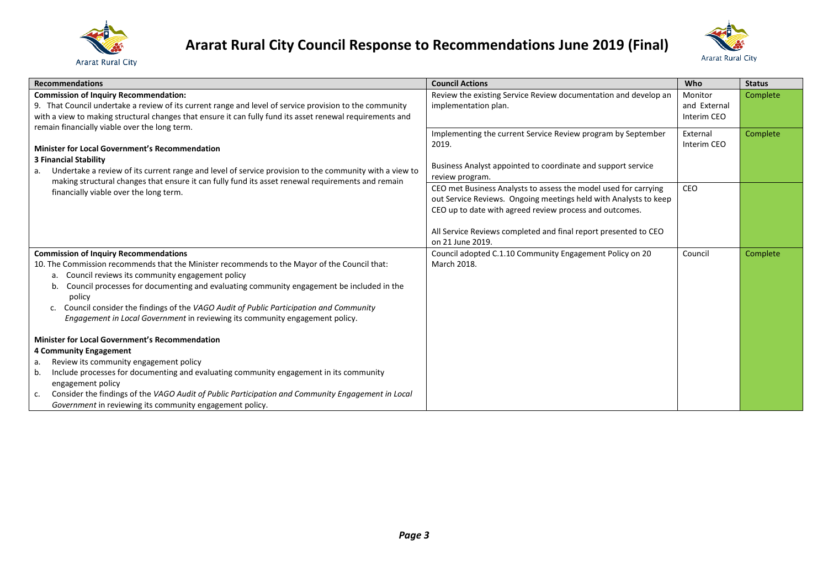



| <b>Recommendations</b>                                                                                                                                                                                                                                                                                                                                                                                                                                                                                                         | <b>Council Actions</b>                                                                                                                                                                                                                                                                | Who                                    | <b>Status</b> |
|--------------------------------------------------------------------------------------------------------------------------------------------------------------------------------------------------------------------------------------------------------------------------------------------------------------------------------------------------------------------------------------------------------------------------------------------------------------------------------------------------------------------------------|---------------------------------------------------------------------------------------------------------------------------------------------------------------------------------------------------------------------------------------------------------------------------------------|----------------------------------------|---------------|
| <b>Commission of Inquiry Recommendation:</b><br>9. That Council undertake a review of its current range and level of service provision to the community<br>with a view to making structural changes that ensure it can fully fund its asset renewal requirements and<br>remain financially viable over the long term.<br><b>Minister for Local Government's Recommendation</b><br><b>3 Financial Stability</b><br>Undertake a review of its current range and level of service provision to the community with a view to<br>a. | Review the existing Service Review documentation and develop an<br>implementation plan.                                                                                                                                                                                               | Monitor<br>and External<br>Interim CEO | Complete      |
|                                                                                                                                                                                                                                                                                                                                                                                                                                                                                                                                | Implementing the current Service Review program by September<br>2019.<br>Business Analyst appointed to coordinate and support service<br>review program.                                                                                                                              | External<br>Interim CEO                | Complete      |
| making structural changes that ensure it can fully fund its asset renewal requirements and remain<br>financially viable over the long term.                                                                                                                                                                                                                                                                                                                                                                                    | CEO met Business Analysts to assess the model used for carrying<br>out Service Reviews. Ongoing meetings held with Analysts to keep<br>CEO up to date with agreed review process and outcomes.<br>All Service Reviews completed and final report presented to CEO<br>on 21 June 2019. | CEO                                    |               |
| <b>Commission of Inquiry Recommendations</b><br>10. The Commission recommends that the Minister recommends to the Mayor of the Council that:<br>Council reviews its community engagement policy<br>a.<br>Council processes for documenting and evaluating community engagement be included in the<br>b.<br>policy<br>Council consider the findings of the VAGO Audit of Public Participation and Community<br>$\mathsf{C}$ .<br>Engagement in Local Government in reviewing its community engagement policy.                   | Council adopted C.1.10 Community Engagement Policy on 20<br>March 2018.                                                                                                                                                                                                               | Council                                | Complete      |
| <b>Minister for Local Government's Recommendation</b><br>4 Community Engagement<br>Review its community engagement policy<br>a.<br>Include processes for documenting and evaluating community engagement in its community<br>b.<br>engagement policy<br>Consider the findings of the VAGO Audit of Public Participation and Community Engagement in Local<br>c.<br>Government in reviewing its community engagement policy.                                                                                                    |                                                                                                                                                                                                                                                                                       |                                        |               |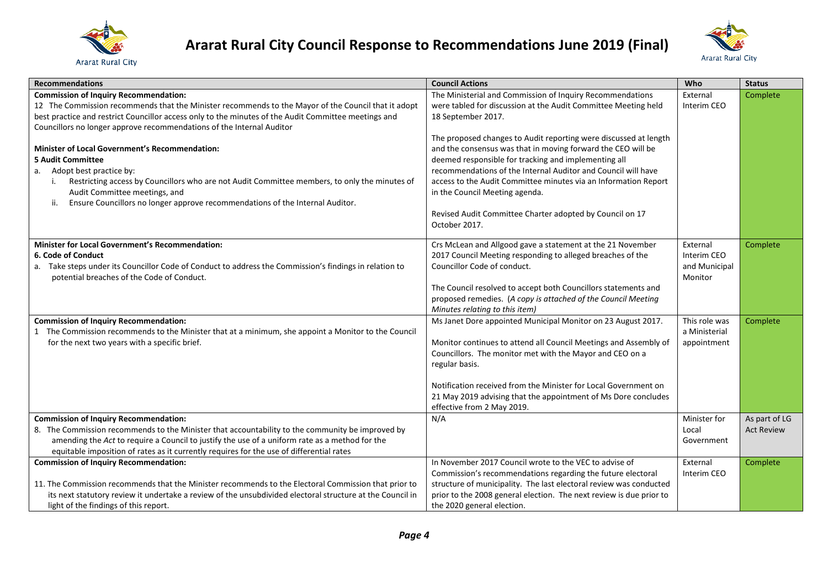



| <b>Recommendations</b>                                                                                                                               | <b>Council Actions</b>                                              | Who                            | <b>Status</b>     |
|------------------------------------------------------------------------------------------------------------------------------------------------------|---------------------------------------------------------------------|--------------------------------|-------------------|
| <b>Commission of Inquiry Recommendation:</b>                                                                                                         | The Ministerial and Commission of Inquiry Recommendations           | External                       | Complete          |
| 12 The Commission recommends that the Minister recommends to the Mayor of the Council that it adopt                                                  | were tabled for discussion at the Audit Committee Meeting held      | Interim CEO                    |                   |
| best practice and restrict Councillor access only to the minutes of the Audit Committee meetings and                                                 | 18 September 2017.                                                  |                                |                   |
| Councillors no longer approve recommendations of the Internal Auditor                                                                                |                                                                     |                                |                   |
|                                                                                                                                                      | The proposed changes to Audit reporting were discussed at length    |                                |                   |
| Minister of Local Government's Recommendation:                                                                                                       | and the consensus was that in moving forward the CEO will be        |                                |                   |
| <b>5 Audit Committee</b>                                                                                                                             | deemed responsible for tracking and implementing all                |                                |                   |
| a. Adopt best practice by:                                                                                                                           | recommendations of the Internal Auditor and Council will have       |                                |                   |
| Restricting access by Councillors who are not Audit Committee members, to only the minutes of                                                        | access to the Audit Committee minutes via an Information Report     |                                |                   |
| Audit Committee meetings, and<br>Ensure Councillors no longer approve recommendations of the Internal Auditor.<br>ii.                                | in the Council Meeting agenda.                                      |                                |                   |
|                                                                                                                                                      | Revised Audit Committee Charter adopted by Council on 17            |                                |                   |
|                                                                                                                                                      | October 2017.                                                       |                                |                   |
|                                                                                                                                                      |                                                                     |                                |                   |
| <b>Minister for Local Government's Recommendation:</b>                                                                                               | Crs McLean and Allgood gave a statement at the 21 November          | External                       | Complete          |
| 6. Code of Conduct                                                                                                                                   | 2017 Council Meeting responding to alleged breaches of the          | Interim CEO                    |                   |
| a. Take steps under its Councillor Code of Conduct to address the Commission's findings in relation to                                               | Councillor Code of conduct.                                         | and Municipal                  |                   |
| potential breaches of the Code of Conduct.                                                                                                           |                                                                     | Monitor                        |                   |
|                                                                                                                                                      | The Council resolved to accept both Councillors statements and      |                                |                   |
|                                                                                                                                                      | proposed remedies. (A copy is attached of the Council Meeting       |                                |                   |
|                                                                                                                                                      | Minutes relating to this item)                                      |                                |                   |
| <b>Commission of Inquiry Recommendation:</b>                                                                                                         | Ms Janet Dore appointed Municipal Monitor on 23 August 2017.        | This role was<br>a Ministerial | Complete          |
| 1 The Commission recommends to the Minister that at a minimum, she appoint a Monitor to the Council<br>for the next two years with a specific brief. | Monitor continues to attend all Council Meetings and Assembly of    | appointment                    |                   |
|                                                                                                                                                      | Councillors. The monitor met with the Mayor and CEO on a            |                                |                   |
|                                                                                                                                                      | regular basis.                                                      |                                |                   |
|                                                                                                                                                      |                                                                     |                                |                   |
|                                                                                                                                                      | Notification received from the Minister for Local Government on     |                                |                   |
|                                                                                                                                                      | 21 May 2019 advising that the appointment of Ms Dore concludes      |                                |                   |
|                                                                                                                                                      | effective from 2 May 2019.                                          |                                |                   |
| <b>Commission of Inquiry Recommendation:</b>                                                                                                         | N/A                                                                 | Minister for                   | As part of LG     |
| 8. The Commission recommends to the Minister that accountability to the community be improved by                                                     |                                                                     | Local                          | <b>Act Review</b> |
| amending the Act to require a Council to justify the use of a uniform rate as a method for the                                                       |                                                                     | Government                     |                   |
| equitable imposition of rates as it currently requires for the use of differential rates                                                             |                                                                     |                                |                   |
| <b>Commission of Inquiry Recommendation:</b>                                                                                                         | In November 2017 Council wrote to the VEC to advise of              | External                       | Complete          |
|                                                                                                                                                      | Commission's recommendations regarding the future electoral         | Interim CEO                    |                   |
| 11. The Commission recommends that the Minister recommends to the Electoral Commission that prior to                                                 | structure of municipality. The last electoral review was conducted  |                                |                   |
| its next statutory review it undertake a review of the unsubdivided electoral structure at the Council in                                            | prior to the 2008 general election. The next review is due prior to |                                |                   |
| light of the findings of this report.                                                                                                                | the 2020 general election.                                          |                                |                   |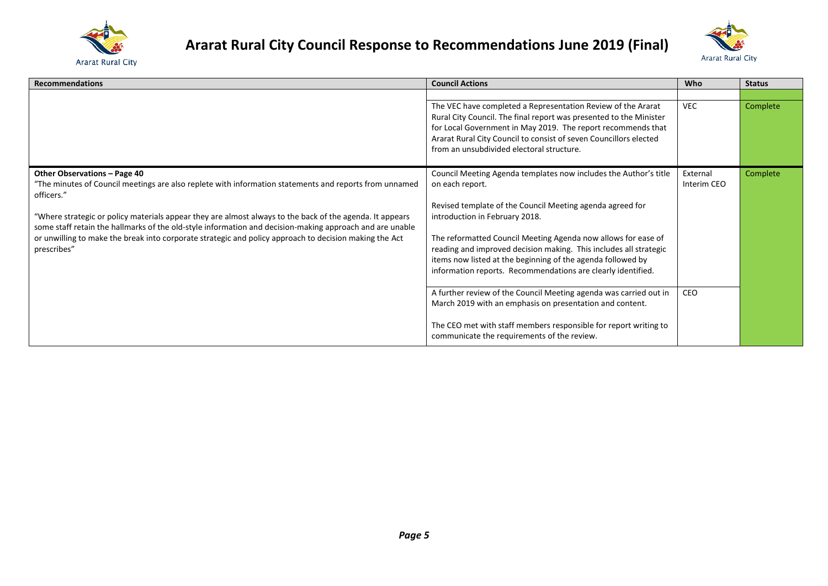



| <b>Recommendations</b>                                                                                                                                                                                                                                                                                                                                                                                                                                                                                | <b>Council Actions</b>                                                                                                                                                                                                                                                                                                                                                                                                                                                                                                       | Who                            | <b>Status</b> |
|-------------------------------------------------------------------------------------------------------------------------------------------------------------------------------------------------------------------------------------------------------------------------------------------------------------------------------------------------------------------------------------------------------------------------------------------------------------------------------------------------------|------------------------------------------------------------------------------------------------------------------------------------------------------------------------------------------------------------------------------------------------------------------------------------------------------------------------------------------------------------------------------------------------------------------------------------------------------------------------------------------------------------------------------|--------------------------------|---------------|
|                                                                                                                                                                                                                                                                                                                                                                                                                                                                                                       | The VEC have completed a Representation Review of the Ararat<br>Rural City Council. The final report was presented to the Minister<br>for Local Government in May 2019. The report recommends that<br>Ararat Rural City Council to consist of seven Councillors elected<br>from an unsubdivided electoral structure.                                                                                                                                                                                                         | <b>VEC</b>                     | Complete      |
| Other Observations - Page 40<br>"The minutes of Council meetings are also replete with information statements and reports from unnamed<br>officers."<br>"Where strategic or policy materials appear they are almost always to the back of the agenda. It appears<br>some staff retain the hallmarks of the old-style information and decision-making approach and are unable<br>or unwilling to make the break into corporate strategic and policy approach to decision making the Act<br>prescribes" | Council Meeting Agenda templates now includes the Author's title<br>on each report.<br>Revised template of the Council Meeting agenda agreed for<br>introduction in February 2018.<br>The reformatted Council Meeting Agenda now allows for ease of<br>reading and improved decision making. This includes all strategic<br>items now listed at the beginning of the agenda followed by<br>information reports. Recommendations are clearly identified.<br>A further review of the Council Meeting agenda was carried out in | External<br>Interim CEO<br>CEO | Complete      |
|                                                                                                                                                                                                                                                                                                                                                                                                                                                                                                       | March 2019 with an emphasis on presentation and content.<br>The CEO met with staff members responsible for report writing to<br>communicate the requirements of the review.                                                                                                                                                                                                                                                                                                                                                  |                                |               |